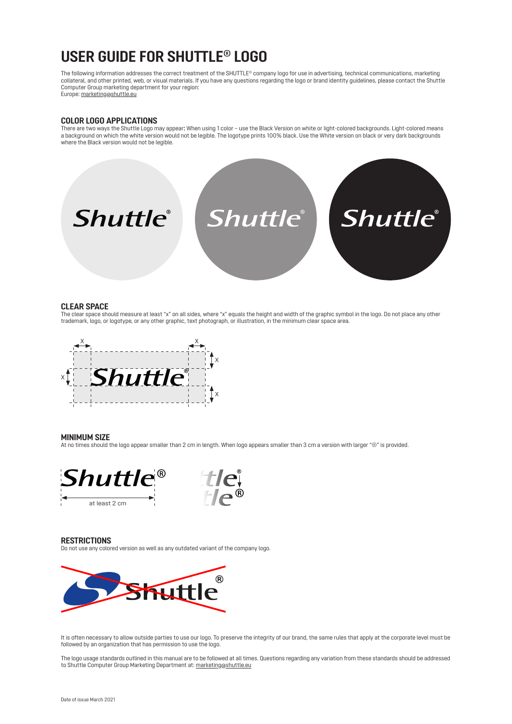## **USER GUIDE FOR SHUTTLE® LOGO**

The following information addresses the correct treatment of the SHUTTLE® company logo for use in advertising, technical communications, marketing collateral, and other printed, web, or visual materials. If you have any questions regarding the logo or brand identity guidelines, please contact the Shuttle Computer Group marketing department for your region: Europe: marketing@shuttle.eu

**COLOR LOGO APPLICATIONS**

There are two ways the Shuttle Logo may appear**:** When using 1 color – use the Black Version on white or light-colored backgrounds. Light-colored means a background on which the white version would not be legible. The logotype prints 100% black. Use the White version on black or very dark backgrounds where the Black version would not be legible.



### **CLEAR SPACE**

The clear space should measure at least "x" on all sides, where "x" equals the height and width of the graphic symbol in the logo. Do not place any other trademark, logo, or logotype, or any other graphic, text photograph, or illustration, in the minimum clear space area.



#### **MINIMUM SIZE**

At no times should the logo appear smaller than 2 cm in length. When logo appears smaller than 3 cm a version with larger "®" is provided.



### **RESTRICTIONS**

Do not use any colored version as well as any outdated variant of the company logo.



It is often necessary to allow outside parties to use our logo. To preserve the integrity of our brand, the same rules that apply at the corporate level must be followed by an organization that has permission to use the logo.

The logo usage standards outlined in this manual are to be followed at all times. Questions regarding any variation from these standards should be addressed to Shuttle Computer Group Marketing Department at: marketing@shuttle.eu